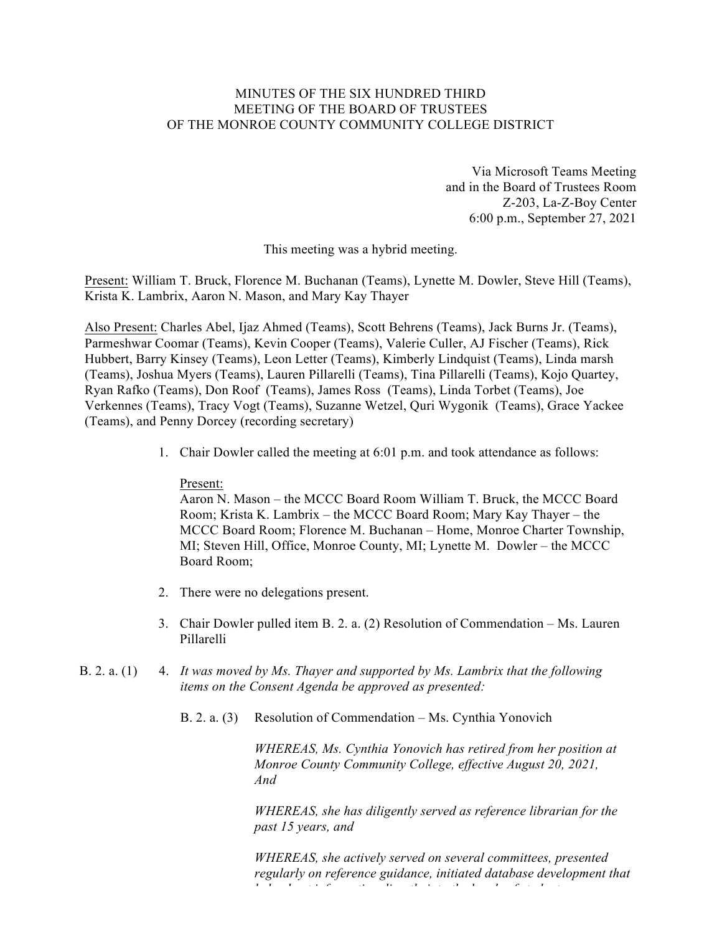# MINUTES OF THE SIX HUNDRED THIRD MEETING OF THE BOARD OF TRUSTEES OF THE MONROE COUNTY COMMUNITY COLLEGE DISTRICT

Via Microsoft Teams Meeting and in the Board of Trustees Room Z-203, La-Z-Boy Center 6:00 p.m., September 27, 2021

This meeting was a hybrid meeting.

Present: William T. Bruck, Florence M. Buchanan (Teams), Lynette M. Dowler, Steve Hill (Teams), Krista K. Lambrix, Aaron N. Mason, and Mary Kay Thayer

Also Present: Charles Abel, Ijaz Ahmed (Teams), Scott Behrens (Teams), Jack Burns Jr. (Teams), Parmeshwar Coomar (Teams), Kevin Cooper (Teams), Valerie Culler, AJ Fischer (Teams), Rick Hubbert, Barry Kinsey (Teams), Leon Letter (Teams), Kimberly Lindquist (Teams), Linda marsh (Teams), Joshua Myers (Teams), Lauren Pillarelli (Teams), Tina Pillarelli (Teams), Kojo Quartey, Ryan Rafko (Teams), Don Roof (Teams), James Ross (Teams), Linda Torbet (Teams), Joe Verkennes (Teams), Tracy Vogt (Teams), Suzanne Wetzel, Quri Wygonik (Teams), Grace Yackee (Teams), and Penny Dorcey (recording secretary)

1. Chair Dowler called the meeting at 6:01 p.m. and took attendance as follows:

## Present:

Aaron N. Mason – the MCCC Board Room William T. Bruck, the MCCC Board Room; Krista K. Lambrix – the MCCC Board Room; Mary Kay Thayer – the MCCC Board Room; Florence M. Buchanan – Home, Monroe Charter Township, MI; Steven Hill, Office, Monroe County, MI; Lynette M. Dowler – the MCCC Board Room;

- 2. There were no delegations present.
- 3. Chair Dowler pulled item B. 2. a. (2) Resolution of Commendation Ms. Lauren Pillarelli
- B. 2. a. (1) 4. *It was moved by Ms. Thayer and supported by Ms. Lambrix that the following items on the Consent Agenda be approved as presented:*
	- B. 2. a. (3) Resolution of Commendation Ms. Cynthia Yonovich

*WHEREAS, Ms. Cynthia Yonovich has retired from her position at Monroe County Community College, effective August 20, 2021, And*

*WHEREAS, she has diligently served as reference librarian for the past 15 years, and*

*WHEREAS, she actively served on several committees, presented regularly on reference guidance, initiated database development that helped get information directly into the hands of students,*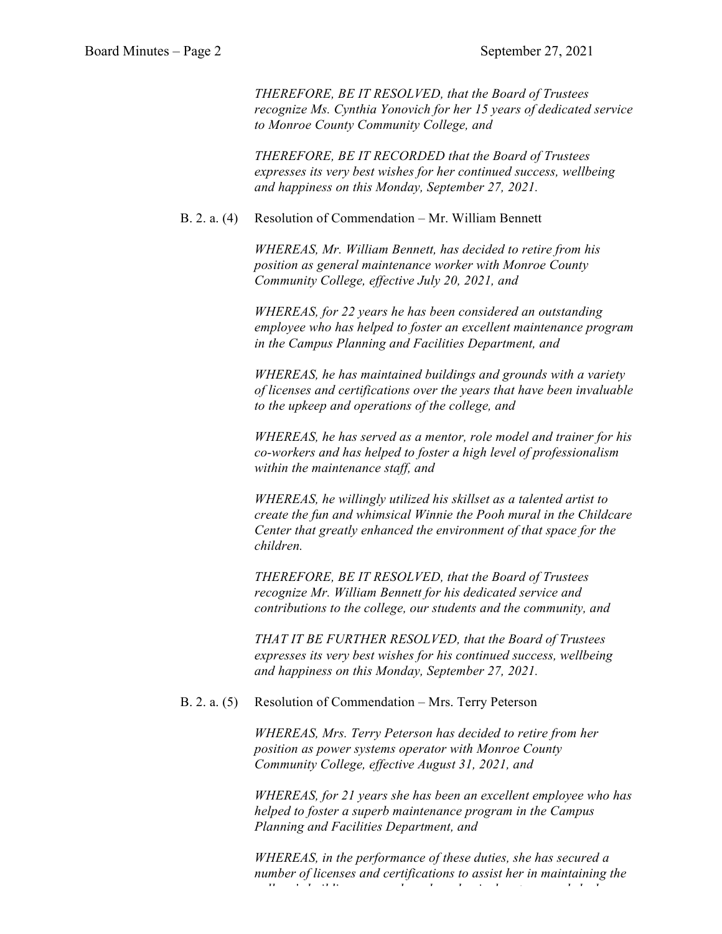*THEREFORE, BE IT RESOLVED, that the Board of Trustees recognize Ms. Cynthia Yonovich for her 15 years of dedicated service to Monroe County Community College, and*

*THEREFORE, BE IT RECORDED that the Board of Trustees expresses its very best wishes for her continued success, wellbeing and happiness on this Monday, September 27, 2021.*

## B. 2. a. (4) Resolution of Commendation – Mr. William Bennett

*WHEREAS, Mr. William Bennett, has decided to retire from his position as general maintenance worker with Monroe County Community College, effective July 20, 2021, and*

*WHEREAS, for 22 years he has been considered an outstanding employee who has helped to foster an excellent maintenance program in the Campus Planning and Facilities Department, and*

*WHEREAS, he has maintained buildings and grounds with a variety of licenses and certifications over the years that have been invaluable to the upkeep and operations of the college, and*

*WHEREAS, he has served as a mentor, role model and trainer for his co-workers and has helped to foster a high level of professionalism within the maintenance staff, and*

*WHEREAS, he willingly utilized his skillset as a talented artist to create the fun and whimsical Winnie the Pooh mural in the Childcare Center that greatly enhanced the environment of that space for the children.* 

*THEREFORE, BE IT RESOLVED, that the Board of Trustees recognize Mr. William Bennett for his dedicated service and contributions to the college, our students and the community, and* 

*THAT IT BE FURTHER RESOLVED, that the Board of Trustees expresses its very best wishes for his continued success, wellbeing and happiness on this Monday, September 27, 2021.*

#### B. 2. a. (5) Resolution of Commendation – Mrs. Terry Peterson

*WHEREAS, Mrs. Terry Peterson has decided to retire from her position as power systems operator with Monroe County Community College, effective August 31, 2021, and*

*WHEREAS, for 21 years she has been an excellent employee who has helped to foster a superb maintenance program in the Campus Planning and Facilities Department, and*

*WHEREAS, in the performance of these duties, she has secured a number of licenses and certifications to assist her in maintaining the college's buildings, grounds and mechanical systems, and she has*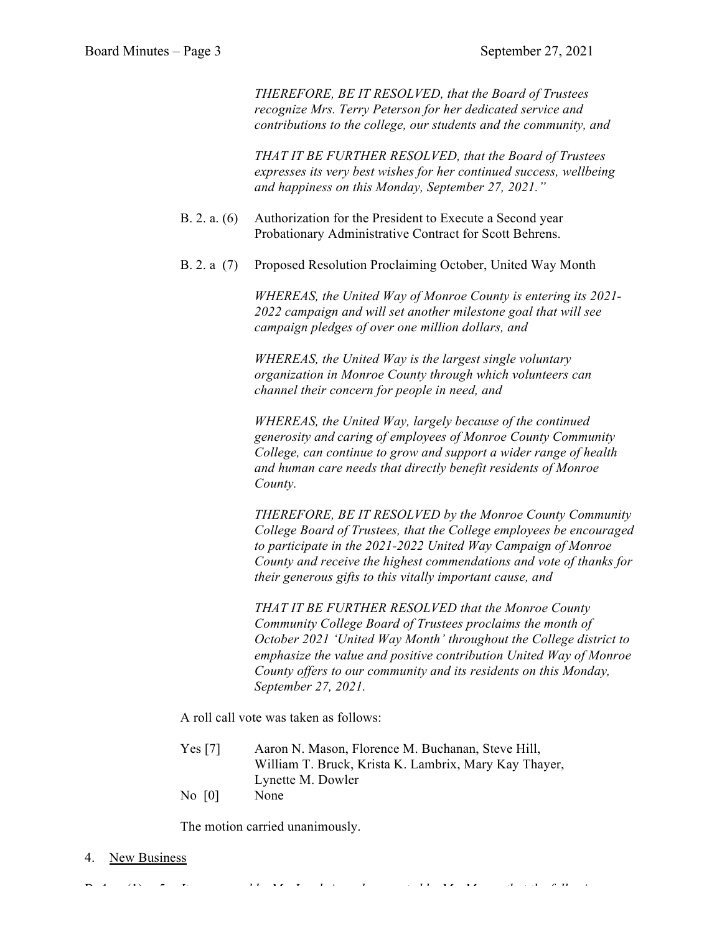*THEREFORE, BE IT RESOLVED, that the Board of Trustees recognize Mrs. Terry Peterson for her dedicated service and contributions to the college, our students and the community, and* 

*THAT IT BE FURTHER RESOLVED, that the Board of Trustees expresses its very best wishes for her continued success, wellbeing and happiness on this Monday, September 27, 2021."*

- B. 2. a. (6) Authorization for the President to Execute a Second year Probationary Administrative Contract for Scott Behrens.
- B. 2. a (7) Proposed Resolution Proclaiming October, United Way Month

*WHEREAS, the United Way of Monroe County is entering its 2021- 2022 campaign and will set another milestone goal that will see campaign pledges of over one million dollars, and*

*WHEREAS, the United Way is the largest single voluntary organization in Monroe County through which volunteers can channel their concern for people in need, and*

*WHEREAS, the United Way, largely because of the continued generosity and caring of employees of Monroe County Community College, can continue to grow and support a wider range of health and human care needs that directly benefit residents of Monroe County.*

*THEREFORE, BE IT RESOLVED by the Monroe County Community College Board of Trustees, that the College employees be encouraged to participate in the 2021-2022 United Way Campaign of Monroe County and receive the highest commendations and vote of thanks for their generous gifts to this vitally important cause, and*

*THAT IT BE FURTHER RESOLVED that the Monroe County Community College Board of Trustees proclaims the month of October 2021 'United Way Month' throughout the College district to emphasize the value and positive contribution United Way of Monroe County offers to our community and its residents on this Monday, September 27, 2021.*

A roll call vote was taken as follows:

- Yes [7] Aaron N. Mason, Florence M. Buchanan, Steve Hill, William T. Bruck, Krista K. Lambrix, Mary Kay Thayer, Lynette M. Dowler
- No [0] None

The motion carried unanimously.

4. New Business

B. 4. a. (1) 5. *It was moved by Ms. Lambrix and supported by Mr. Mason that the following*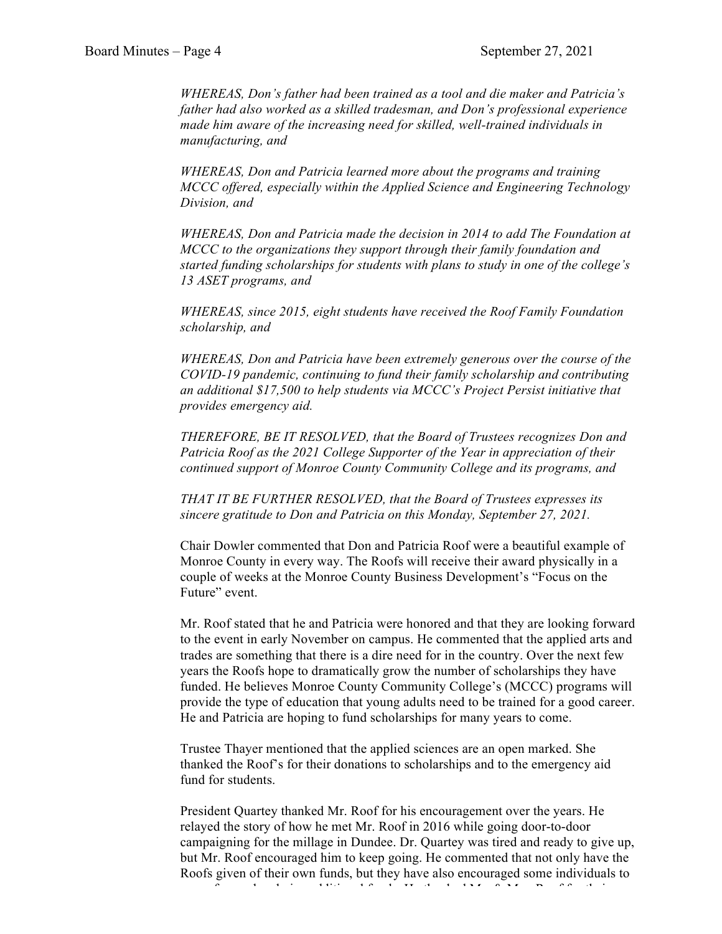*WHEREAS, Don's father had been trained as a tool and die maker and Patricia's father had also worked as a skilled tradesman, and Don's professional experience made him aware of the increasing need for skilled, well-trained individuals in manufacturing, and*

*WHEREAS, Don and Patricia learned more about the programs and training MCCC offered, especially within the Applied Science and Engineering Technology Division, and*

*WHEREAS, Don and Patricia made the decision in 2014 to add The Foundation at MCCC to the organizations they support through their family foundation and started funding scholarships for students with plans to study in one of the college's 13 ASET programs, and*

*WHEREAS, since 2015, eight students have received the Roof Family Foundation scholarship, and*

*WHEREAS, Don and Patricia have been extremely generous over the course of the COVID-19 pandemic, continuing to fund their family scholarship and contributing an additional \$17,500 to help students via MCCC's Project Persist initiative that provides emergency aid.*

*THEREFORE, BE IT RESOLVED, that the Board of Trustees recognizes Don and Patricia Roof as the 2021 College Supporter of the Year in appreciation of their continued support of Monroe County Community College and its programs, and*

*THAT IT BE FURTHER RESOLVED, that the Board of Trustees expresses its sincere gratitude to Don and Patricia on this Monday, September 27, 2021.*

Chair Dowler commented that Don and Patricia Roof were a beautiful example of Monroe County in every way. The Roofs will receive their award physically in a couple of weeks at the Monroe County Business Development's "Focus on the Future" event.

Mr. Roof stated that he and Patricia were honored and that they are looking forward to the event in early November on campus. He commented that the applied arts and trades are something that there is a dire need for in the country. Over the next few years the Roofs hope to dramatically grow the number of scholarships they have funded. He believes Monroe County Community College's (MCCC) programs will provide the type of education that young adults need to be trained for a good career. He and Patricia are hoping to fund scholarships for many years to come.

Trustee Thayer mentioned that the applied sciences are an open marked. She thanked the Roof's for their donations to scholarships and to the emergency aid fund for students.

President Quartey thanked Mr. Roof for his encouragement over the years. He relayed the story of how he met Mr. Roof in 2016 while going door-to-door campaigning for the millage in Dundee. Dr. Quartey was tired and ready to give up, but Mr. Roof encouraged him to keep going. He commented that not only have the Roofs given of their own funds, but they have also encouraged some individuals to move forward and give additional funds. He thanked Mr. & Mrs. Roof for their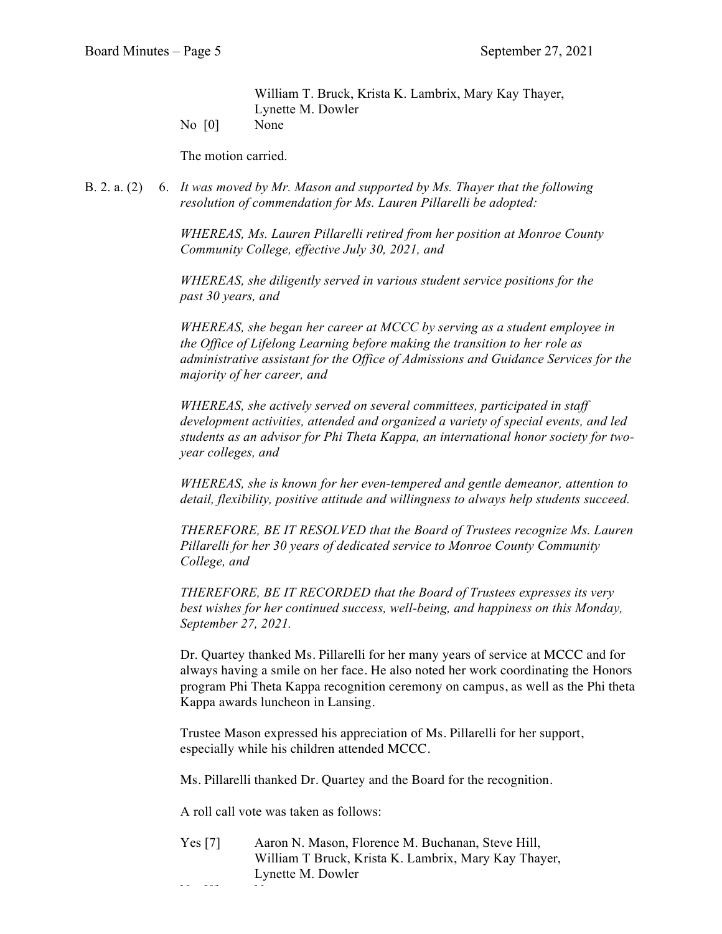William T. Bruck, Krista K. Lambrix, Mary Kay Thayer, Lynette M. Dowler

No [0] None

The motion carried.

B. 2. a. (2) 6. *It was moved by Mr. Mason and supported by Ms. Thayer that the following resolution of commendation for Ms. Lauren Pillarelli be adopted:*

> *WHEREAS, Ms. Lauren Pillarelli retired from her position at Monroe County Community College, effective July 30, 2021, and*

*WHEREAS, she diligently served in various student service positions for the past 30 years, and*

*WHEREAS, she began her career at MCCC by serving as a student employee in the Office of Lifelong Learning before making the transition to her role as administrative assistant for the Office of Admissions and Guidance Services for the majority of her career, and*

*WHEREAS, she actively served on several committees, participated in staff development activities, attended and organized a variety of special events, and led students as an advisor for Phi Theta Kappa, an international honor society for twoyear colleges, and*

*WHEREAS, she is known for her even-tempered and gentle demeanor, attention to detail, flexibility, positive attitude and willingness to always help students succeed.*

*THEREFORE, BE IT RESOLVED that the Board of Trustees recognize Ms. Lauren Pillarelli for her 30 years of dedicated service to Monroe County Community College, and*

*THEREFORE, BE IT RECORDED that the Board of Trustees expresses its very best wishes for her continued success, well-being, and happiness on this Monday, September 27, 2021.*

Dr. Quartey thanked Ms. Pillarelli for her many years of service at MCCC and for always having a smile on her face. He also noted her work coordinating the Honors program Phi Theta Kappa recognition ceremony on campus, as well as the Phi theta Kappa awards luncheon in Lansing.

Trustee Mason expressed his appreciation of Ms. Pillarelli for her support, especially while his children attended MCCC.

Ms. Pillarelli thanked Dr. Quartey and the Board for the recognition.

A roll call vote was taken as follows:

Yes [7] Aaron N. Mason, Florence M. Buchanan, Steve Hill, William T Bruck, Krista K. Lambrix, Mary Kay Thayer, Lynette M. Dowler

No handi (None)<br>None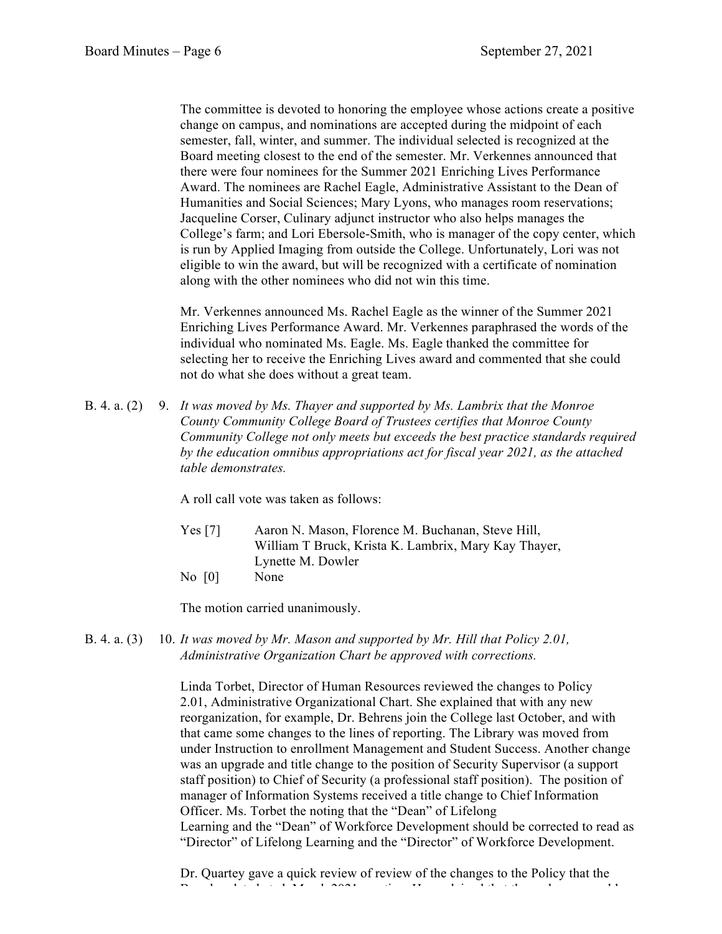The committee is devoted to honoring the employee whose actions create a positive change on campus, and nominations are accepted during the midpoint of each semester, fall, winter, and summer. The individual selected is recognized at the Board meeting closest to the end of the semester. Mr. Verkennes announced that there were four nominees for the Summer 2021 Enriching Lives Performance Award. The nominees are Rachel Eagle, Administrative Assistant to the Dean of Humanities and Social Sciences; Mary Lyons, who manages room reservations; Jacqueline Corser, Culinary adjunct instructor who also helps manages the College's farm; and Lori Ebersole-Smith, who is manager of the copy center, which is run by Applied Imaging from outside the College. Unfortunately, Lori was not eligible to win the award, but will be recognized with a certificate of nomination along with the other nominees who did not win this time.

Mr. Verkennes announced Ms. Rachel Eagle as the winner of the Summer 2021 Enriching Lives Performance Award. Mr. Verkennes paraphrased the words of the individual who nominated Ms. Eagle. Ms. Eagle thanked the committee for selecting her to receive the Enriching Lives award and commented that she could not do what she does without a great team.

B. 4. a. (2) 9. *It was moved by Ms. Thayer and supported by Ms. Lambrix that the Monroe County Community College Board of Trustees certifies that Monroe County Community College not only meets but exceeds the best practice standards required by the education omnibus appropriations act for fiscal year 2021, as the attached table demonstrates.*

A roll call vote was taken as follows:

- Yes [7] Aaron N. Mason, Florence M. Buchanan, Steve Hill, William T Bruck, Krista K. Lambrix, Mary Kay Thayer, Lynette M. Dowler
- No [0] None

The motion carried unanimously.

B. 4. a. (3) 10. *It was moved by Mr. Mason and supported by Mr. Hill that Policy 2.01, Administrative Organization Chart be approved with corrections.*

> Linda Torbet, Director of Human Resources reviewed the changes to Policy 2.01, Administrative Organizational Chart. She explained that with any new reorganization, for example, Dr. Behrens join the College last October, and with that came some changes to the lines of reporting. The Library was moved from under Instruction to enrollment Management and Student Success. Another change was an upgrade and title change to the position of Security Supervisor (a support staff position) to Chief of Security (a professional staff position). The position of manager of Information Systems received a title change to Chief Information Officer. Ms. Torbet the noting that the "Dean" of Lifelong Learning and the "Dean" of Workforce Development should be corrected to read as "Director" of Lifelong Learning and the "Director" of Workforce Development.

Dr. Quartey gave a quick review of review of the changes to the Policy that the  $\frac{1}{2}$  board  $\frac{1}{2}$  meeting. He explained that the explained that the explanation that the enables enables enables enables enables enables enables enables enables enables enables enables en block and the enables ena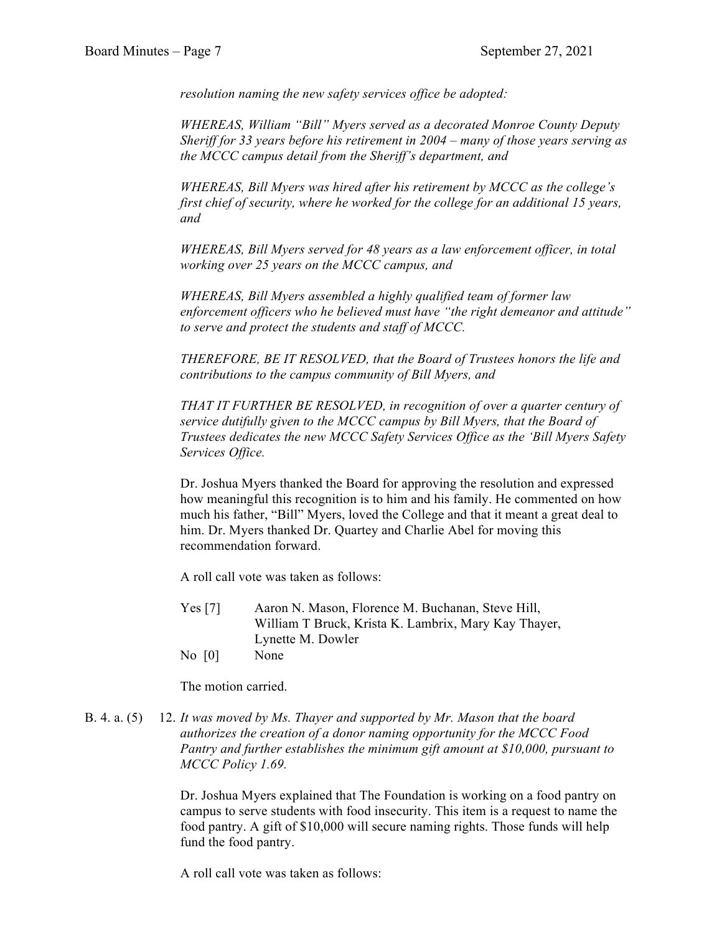*resolution naming the new safety services office be adopted:* 

*WHEREAS, William "Bill" Myers served as a decorated Monroe County Deputy Sheriff for 33 years before his retirement in 2004 – many of those years serving as the MCCC campus detail from the Sheriff's department, and*

*WHEREAS, Bill Myers was hired after his retirement by MCCC as the college's first chief of security, where he worked for the college for an additional 15 years, and*

*WHEREAS, Bill Myers served for 48 years as a law enforcement officer, in total working over 25 years on the MCCC campus, and*

*WHEREAS, Bill Myers assembled a highly qualified team of former law enforcement officers who he believed must have "the right demeanor and attitude" to serve and protect the students and staff of MCCC.* 

*THEREFORE, BE IT RESOLVED, that the Board of Trustees honors the life and contributions to the campus community of Bill Myers, and*

*THAT IT FURTHER BE RESOLVED, in recognition of over a quarter century of service dutifully given to the MCCC campus by Bill Myers, that the Board of Trustees dedicates the new MCCC Safety Services Office as the 'Bill Myers Safety Services Office.*

Dr. Joshua Myers thanked the Board for approving the resolution and expressed how meaningful this recognition is to him and his family. He commented on how much his father, "Bill" Myers, loved the College and that it meant a great deal to him. Dr. Myers thanked Dr. Quartey and Charlie Abel for moving this recommendation forward.

A roll call vote was taken as follows:

- Yes [7] Aaron N. Mason, Florence M. Buchanan, Steve Hill, William T Bruck, Krista K. Lambrix, Mary Kay Thayer, Lynette M. Dowler
- No [0] None

The motion carried.

B. 4. a. (5) 12. *It was moved by Ms. Thayer and supported by Mr. Mason that the board authorizes the creation of a donor naming opportunity for the MCCC Food Pantry and further establishes the minimum gift amount at \$10,000, pursuant to MCCC Policy 1.69.*

> Dr. Joshua Myers explained that The Foundation is working on a food pantry on campus to serve students with food insecurity. This item is a request to name the food pantry. A gift of \$10,000 will secure naming rights. Those funds will help fund the food pantry.

A roll call vote was taken as follows: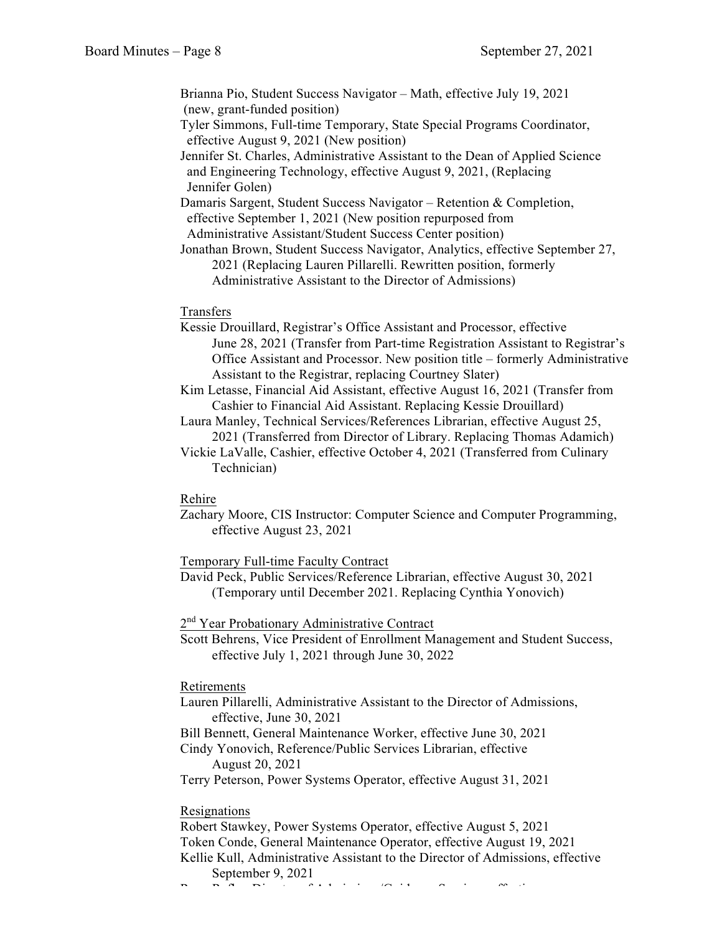Brianna Pio, Student Success Navigator – Math, effective July 19, 2021 (new, grant-funded position) Tyler Simmons, Full-time Temporary, State Special Programs Coordinator, effective August 9, 2021 (New position)

Jennifer St. Charles, Administrative Assistant to the Dean of Applied Science and Engineering Technology, effective August 9, 2021, (Replacing Jennifer Golen)

Damaris Sargent, Student Success Navigator – Retention & Completion, effective September 1, 2021 (New position repurposed from Administrative Assistant/Student Success Center position)

Jonathan Brown, Student Success Navigator, Analytics, effective September 27, 2021 (Replacing Lauren Pillarelli. Rewritten position, formerly Administrative Assistant to the Director of Admissions)

# Transfers

Kessie Drouillard, Registrar's Office Assistant and Processor, effective June 28, 2021 (Transfer from Part-time Registration Assistant to Registrar's Office Assistant and Processor. New position title – formerly Administrative Assistant to the Registrar, replacing Courtney Slater)

Kim Letasse, Financial Aid Assistant, effective August 16, 2021 (Transfer from Cashier to Financial Aid Assistant. Replacing Kessie Drouillard)

Laura Manley, Technical Services/References Librarian, effective August 25, 2021 (Transferred from Director of Library. Replacing Thomas Adamich)

Vickie LaValle, Cashier, effective October 4, 2021 (Transferred from Culinary Technician)

# Rehire

Zachary Moore, CIS Instructor: Computer Science and Computer Programming, effective August 23, 2021

Temporary Full-time Faculty Contract

David Peck, Public Services/Reference Librarian, effective August 30, 2021 (Temporary until December 2021. Replacing Cynthia Yonovich)

2<sup>nd</sup> Year Probationary Administrative Contract

Scott Behrens, Vice President of Enrollment Management and Student Success, effective July 1, 2021 through June 30, 2022

#### Retirements

Lauren Pillarelli, Administrative Assistant to the Director of Admissions, effective, June 30, 2021

Bill Bennett, General Maintenance Worker, effective June 30, 2021

Cindy Yonovich, Reference/Public Services Librarian, effective August 20, 2021

Terry Peterson, Power Systems Operator, effective August 31, 2021

## Resignations

Robert Stawkey, Power Systems Operator, effective August 5, 2021 Token Conde, General Maintenance Operator, effective August 19, 2021 Kellie Kull, Administrative Assistant to the Director of Admissions, effective September 9, 2021

Ryan Rafko, Director of Admissions/Guidance Services, effective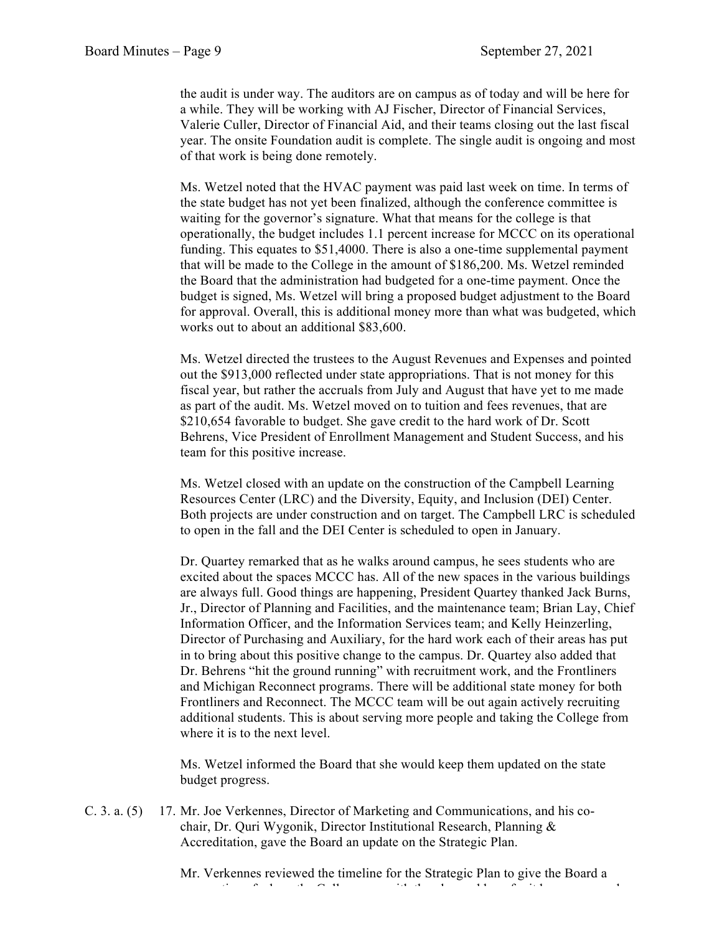the audit is under way. The auditors are on campus as of today and will be here for a while. They will be working with AJ Fischer, Director of Financial Services, Valerie Culler, Director of Financial Aid, and their teams closing out the last fiscal year. The onsite Foundation audit is complete. The single audit is ongoing and most of that work is being done remotely.

Ms. Wetzel noted that the HVAC payment was paid last week on time. In terms of the state budget has not yet been finalized, although the conference committee is waiting for the governor's signature. What that means for the college is that operationally, the budget includes 1.1 percent increase for MCCC on its operational funding. This equates to \$51,4000. There is also a one-time supplemental payment that will be made to the College in the amount of \$186,200. Ms. Wetzel reminded the Board that the administration had budgeted for a one-time payment. Once the budget is signed, Ms. Wetzel will bring a proposed budget adjustment to the Board for approval. Overall, this is additional money more than what was budgeted, which works out to about an additional \$83,600.

Ms. Wetzel directed the trustees to the August Revenues and Expenses and pointed out the \$913,000 reflected under state appropriations. That is not money for this fiscal year, but rather the accruals from July and August that have yet to me made as part of the audit. Ms. Wetzel moved on to tuition and fees revenues, that are \$210,654 favorable to budget. She gave credit to the hard work of Dr. Scott Behrens, Vice President of Enrollment Management and Student Success, and his team for this positive increase.

Ms. Wetzel closed with an update on the construction of the Campbell Learning Resources Center (LRC) and the Diversity, Equity, and Inclusion (DEI) Center. Both projects are under construction and on target. The Campbell LRC is scheduled to open in the fall and the DEI Center is scheduled to open in January.

Dr. Quartey remarked that as he walks around campus, he sees students who are excited about the spaces MCCC has. All of the new spaces in the various buildings are always full. Good things are happening, President Quartey thanked Jack Burns, Jr., Director of Planning and Facilities, and the maintenance team; Brian Lay, Chief Information Officer, and the Information Services team; and Kelly Heinzerling, Director of Purchasing and Auxiliary, for the hard work each of their areas has put in to bring about this positive change to the campus. Dr. Quartey also added that Dr. Behrens "hit the ground running" with recruitment work, and the Frontliners and Michigan Reconnect programs. There will be additional state money for both Frontliners and Reconnect. The MCCC team will be out again actively recruiting additional students. This is about serving more people and taking the College from where it is to the next level.

Ms. Wetzel informed the Board that she would keep them updated on the state budget progress.

C. 3. a. (5) 17. Mr. Joe Verkennes, Director of Marketing and Communications, and his cochair, Dr. Quri Wygonik, Director Institutional Research, Planning & Accreditation, gave the Board an update on the Strategic Plan.

> Mr. Verkennes reviewed the timeline for the Strategic Plan to give the Board a perspective of where the College was with the plan and how far it has progressed.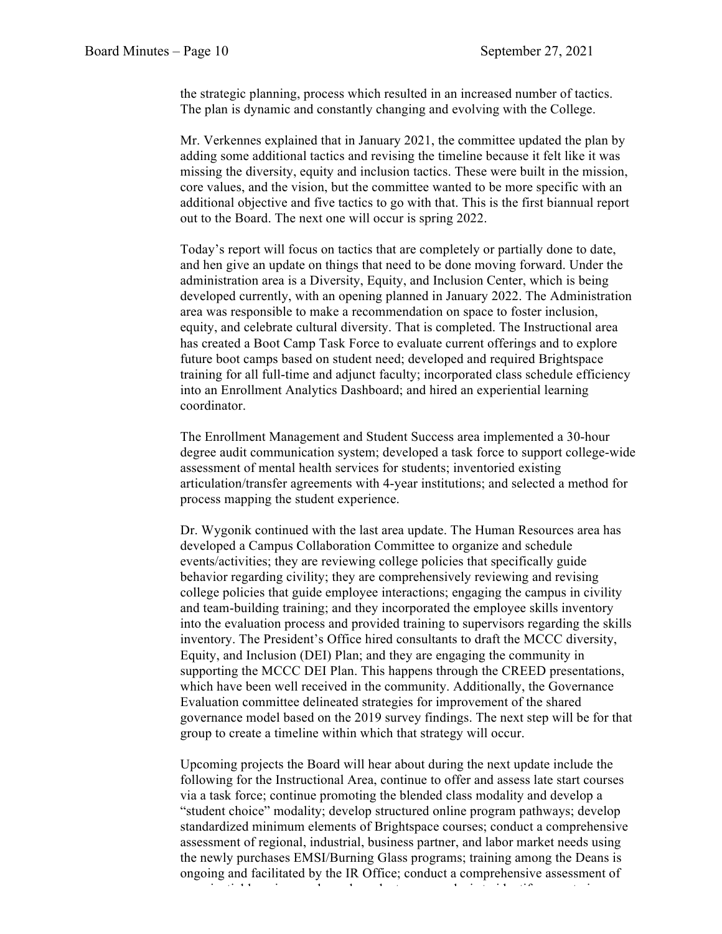the strategic planning, process which resulted in an increased number of tactics. The plan is dynamic and constantly changing and evolving with the College.

Mr. Verkennes explained that in January 2021, the committee updated the plan by adding some additional tactics and revising the timeline because it felt like it was missing the diversity, equity and inclusion tactics. These were built in the mission, core values, and the vision, but the committee wanted to be more specific with an additional objective and five tactics to go with that. This is the first biannual report out to the Board. The next one will occur is spring 2022.

Today's report will focus on tactics that are completely or partially done to date, and hen give an update on things that need to be done moving forward. Under the administration area is a Diversity, Equity, and Inclusion Center, which is being developed currently, with an opening planned in January 2022. The Administration area was responsible to make a recommendation on space to foster inclusion, equity, and celebrate cultural diversity. That is completed. The Instructional area has created a Boot Camp Task Force to evaluate current offerings and to explore future boot camps based on student need; developed and required Brightspace training for all full-time and adjunct faculty; incorporated class schedule efficiency into an Enrollment Analytics Dashboard; and hired an experiential learning coordinator.

The Enrollment Management and Student Success area implemented a 30-hour degree audit communication system; developed a task force to support college-wide assessment of mental health services for students; inventoried existing articulation/transfer agreements with 4-year institutions; and selected a method for process mapping the student experience.

Dr. Wygonik continued with the last area update. The Human Resources area has developed a Campus Collaboration Committee to organize and schedule events/activities; they are reviewing college policies that specifically guide behavior regarding civility; they are comprehensively reviewing and revising college policies that guide employee interactions; engaging the campus in civility and team-building training; and they incorporated the employee skills inventory into the evaluation process and provided training to supervisors regarding the skills inventory. The President's Office hired consultants to draft the MCCC diversity, Equity, and Inclusion (DEI) Plan; and they are engaging the community in supporting the MCCC DEI Plan. This happens through the CREED presentations, which have been well received in the community. Additionally, the Governance Evaluation committee delineated strategies for improvement of the shared governance model based on the 2019 survey findings. The next step will be for that group to create a timeline within which that strategy will occur.

Upcoming projects the Board will hear about during the next update include the following for the Instructional Area, continue to offer and assess late start courses via a task force; continue promoting the blended class modality and develop a "student choice" modality; develop structured online program pathways; develop standardized minimum elements of Brightspace courses; conduct a comprehensive assessment of regional, industrial, business partner, and labor market needs using the newly purchases EMSI/Burning Glass programs; training among the Deans is ongoing and facilitated by the IR Office; conduct a comprehensive assessment of experiential learning needs; and conduct a gap and conduct a gap and conduct a gap and conduct a gap  $\alpha$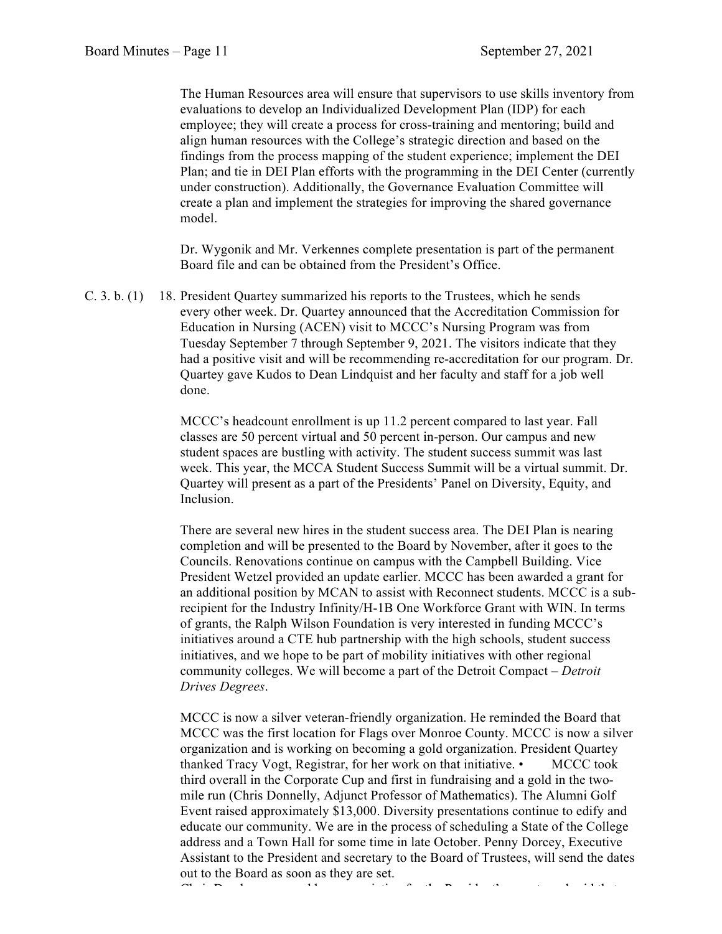The Human Resources area will ensure that supervisors to use skills inventory from evaluations to develop an Individualized Development Plan (IDP) for each employee; they will create a process for cross-training and mentoring; build and align human resources with the College's strategic direction and based on the findings from the process mapping of the student experience; implement the DEI Plan; and tie in DEI Plan efforts with the programming in the DEI Center (currently under construction). Additionally, the Governance Evaluation Committee will create a plan and implement the strategies for improving the shared governance model.

Dr. Wygonik and Mr. Verkennes complete presentation is part of the permanent Board file and can be obtained from the President's Office.

C. 3. b. (1) 18. President Quartey summarized his reports to the Trustees, which he sends every other week. Dr. Quartey announced that the Accreditation Commission for Education in Nursing (ACEN) visit to MCCC's Nursing Program was from Tuesday September 7 through September 9, 2021. The visitors indicate that they had a positive visit and will be recommending re-accreditation for our program. Dr. Quartey gave Kudos to Dean Lindquist and her faculty and staff for a job well done.

> MCCC's headcount enrollment is up 11.2 percent compared to last year. Fall classes are 50 percent virtual and 50 percent in-person. Our campus and new student spaces are bustling with activity. The student success summit was last week. This year, the MCCA Student Success Summit will be a virtual summit. Dr. Quartey will present as a part of the Presidents' Panel on Diversity, Equity, and Inclusion.

There are several new hires in the student success area. The DEI Plan is nearing completion and will be presented to the Board by November, after it goes to the Councils. Renovations continue on campus with the Campbell Building. Vice President Wetzel provided an update earlier. MCCC has been awarded a grant for an additional position by MCAN to assist with Reconnect students. MCCC is a subrecipient for the Industry Infinity/H-1B One Workforce Grant with WIN. In terms of grants, the Ralph Wilson Foundation is very interested in funding MCCC's initiatives around a CTE hub partnership with the high schools, student success initiatives, and we hope to be part of mobility initiatives with other regional community colleges. We will become a part of the Detroit Compact – *Detroit Drives Degrees*.

MCCC is now a silver veteran-friendly organization. He reminded the Board that MCCC was the first location for Flags over Monroe County. MCCC is now a silver organization and is working on becoming a gold organization. President Quartey thanked Tracy Vogt, Registrar, for her work on that initiative. • MCCC took third overall in the Corporate Cup and first in fundraising and a gold in the twomile run (Chris Donnelly, Adjunct Professor of Mathematics). The Alumni Golf Event raised approximately \$13,000. Diversity presentations continue to edify and educate our community. We are in the process of scheduling a State of the College address and a Town Hall for some time in late October. Penny Dorcey, Executive Assistant to the President and secretary to the Board of Trustees, will send the dates out to the Board as soon as they are set.

Chair Dowler expressed her appreciation for the President's reports and said that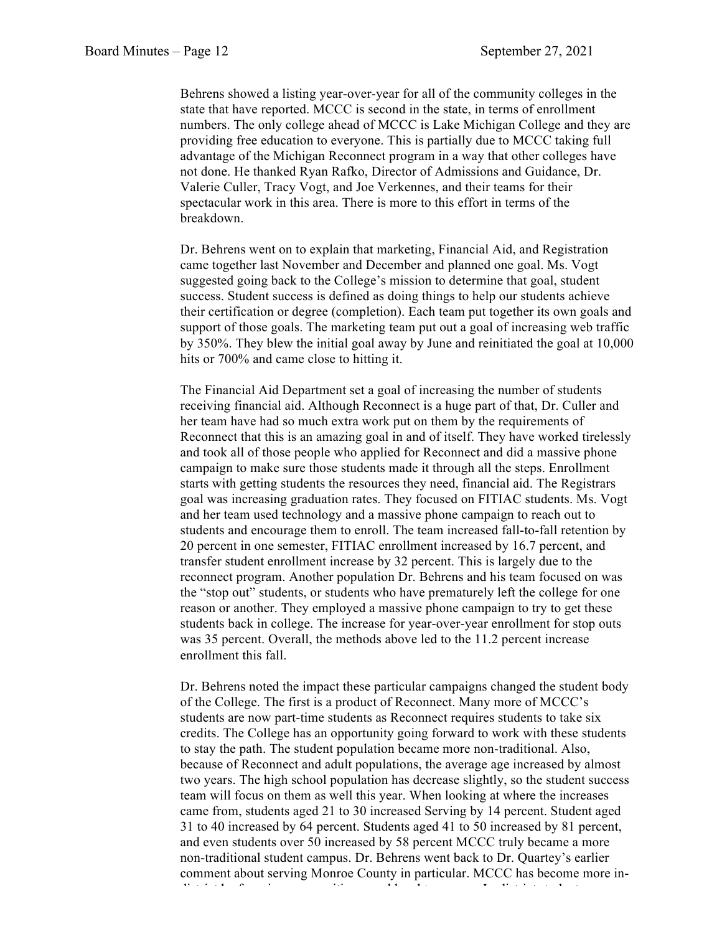Behrens showed a listing year-over-year for all of the community colleges in the state that have reported. MCCC is second in the state, in terms of enrollment numbers. The only college ahead of MCCC is Lake Michigan College and they are providing free education to everyone. This is partially due to MCCC taking full advantage of the Michigan Reconnect program in a way that other colleges have not done. He thanked Ryan Rafko, Director of Admissions and Guidance, Dr. Valerie Culler, Tracy Vogt, and Joe Verkennes, and their teams for their spectacular work in this area. There is more to this effort in terms of the breakdown.

Dr. Behrens went on to explain that marketing, Financial Aid, and Registration came together last November and December and planned one goal. Ms. Vogt suggested going back to the College's mission to determine that goal, student success. Student success is defined as doing things to help our students achieve their certification or degree (completion). Each team put together its own goals and support of those goals. The marketing team put out a goal of increasing web traffic by 350%. They blew the initial goal away by June and reinitiated the goal at 10,000 hits or 700% and came close to hitting it.

The Financial Aid Department set a goal of increasing the number of students receiving financial aid. Although Reconnect is a huge part of that, Dr. Culler and her team have had so much extra work put on them by the requirements of Reconnect that this is an amazing goal in and of itself. They have worked tirelessly and took all of those people who applied for Reconnect and did a massive phone campaign to make sure those students made it through all the steps. Enrollment starts with getting students the resources they need, financial aid. The Registrars goal was increasing graduation rates. They focused on FITIAC students. Ms. Vogt and her team used technology and a massive phone campaign to reach out to students and encourage them to enroll. The team increased fall-to-fall retention by 20 percent in one semester, FITIAC enrollment increased by 16.7 percent, and transfer student enrollment increase by 32 percent. This is largely due to the reconnect program. Another population Dr. Behrens and his team focused on was the "stop out" students, or students who have prematurely left the college for one reason or another. They employed a massive phone campaign to try to get these students back in college. The increase for year-over-year enrollment for stop outs was 35 percent. Overall, the methods above led to the 11.2 percent increase enrollment this fall.

Dr. Behrens noted the impact these particular campaigns changed the student body of the College. The first is a product of Reconnect. Many more of MCCC's students are now part-time students as Reconnect requires students to take six credits. The College has an opportunity going forward to work with these students to stay the path. The student population became more non-traditional. Also, because of Reconnect and adult populations, the average age increased by almost two years. The high school population has decrease slightly, so the student success team will focus on them as well this year. When looking at where the increases came from, students aged 21 to 30 increased Serving by 14 percent. Student aged 31 to 40 increased by 64 percent. Students aged 41 to 50 increased by 81 percent, and even students over 50 increased by 58 percent MCCC truly became a more non-traditional student campus. Dr. Behrens went back to Dr. Quartey's earlier comment about serving Monroe County in particular. MCCC has become more indistrict by focusing on our citizens and local taxpayers. In  $\alpha$  is the studients of the studients of  $\alpha$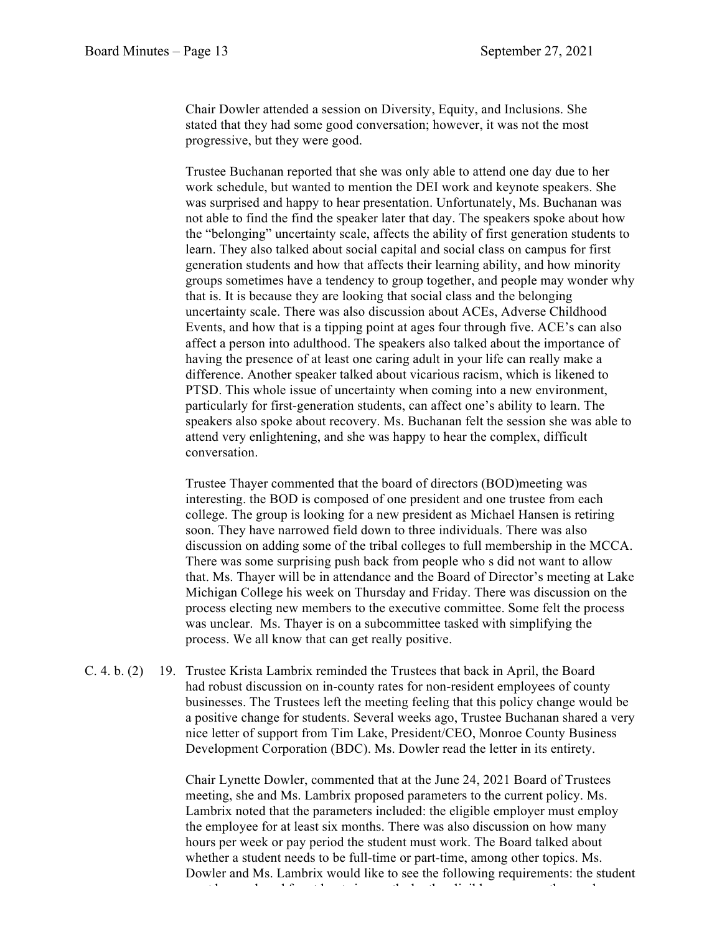Chair Dowler attended a session on Diversity, Equity, and Inclusions. She stated that they had some good conversation; however, it was not the most progressive, but they were good.

Trustee Buchanan reported that she was only able to attend one day due to her work schedule, but wanted to mention the DEI work and keynote speakers. She was surprised and happy to hear presentation. Unfortunately, Ms. Buchanan was not able to find the find the speaker later that day. The speakers spoke about how the "belonging" uncertainty scale, affects the ability of first generation students to learn. They also talked about social capital and social class on campus for first generation students and how that affects their learning ability, and how minority groups sometimes have a tendency to group together, and people may wonder why that is. It is because they are looking that social class and the belonging uncertainty scale. There was also discussion about ACEs, Adverse Childhood Events, and how that is a tipping point at ages four through five. ACE's can also affect a person into adulthood. The speakers also talked about the importance of having the presence of at least one caring adult in your life can really make a difference. Another speaker talked about vicarious racism, which is likened to PTSD. This whole issue of uncertainty when coming into a new environment, particularly for first-generation students, can affect one's ability to learn. The speakers also spoke about recovery. Ms. Buchanan felt the session she was able to attend very enlightening, and she was happy to hear the complex, difficult conversation.

Trustee Thayer commented that the board of directors (BOD)meeting was interesting. the BOD is composed of one president and one trustee from each college. The group is looking for a new president as Michael Hansen is retiring soon. They have narrowed field down to three individuals. There was also discussion on adding some of the tribal colleges to full membership in the MCCA. There was some surprising push back from people who s did not want to allow that. Ms. Thayer will be in attendance and the Board of Director's meeting at Lake Michigan College his week on Thursday and Friday. There was discussion on the process electing new members to the executive committee. Some felt the process was unclear. Ms. Thayer is on a subcommittee tasked with simplifying the process. We all know that can get really positive.

C. 4. b. (2) 19. Trustee Krista Lambrix reminded the Trustees that back in April, the Board had robust discussion on in-county rates for non-resident employees of county businesses. The Trustees left the meeting feeling that this policy change would be a positive change for students. Several weeks ago, Trustee Buchanan shared a very nice letter of support from Tim Lake, President/CEO, Monroe County Business Development Corporation (BDC). Ms. Dowler read the letter in its entirety.

> Chair Lynette Dowler, commented that at the June 24, 2021 Board of Trustees meeting, she and Ms. Lambrix proposed parameters to the current policy. Ms. Lambrix noted that the parameters included: the eligible employer must employ the employee for at least six months. There was also discussion on how many hours per week or pay period the student must work. The Board talked about whether a student needs to be full-time or part-time, among other topics. Ms. Dowler and Ms. Lambrix would like to see the following requirements: the student must be employed for at least six months by the eligible company; the employer